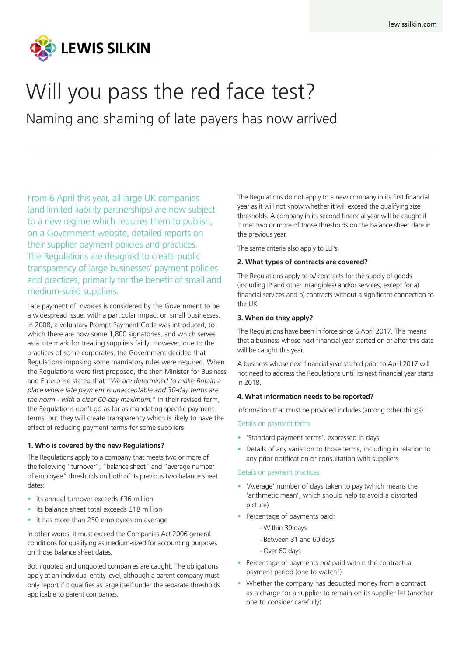

# Will you pass the red face test?

Naming and shaming of late payers has now arrived

From 6 April this year, all large UK companies (and limited liability partnerships) are now subject to a new regime which requires them to publish, on a Government website, detailed reports on their supplier payment policies and practices. The Regulations are designed to create public transparency of large businesses' payment policies and practices, primarily for the benefit of small and medium-sized suppliers.

Late payment of invoices is considered by the Government to be a widespread issue, with a particular impact on small businesses. In 2008, a voluntary Prompt Payment Code was introduced, to which there are now some 1,800 signatories, and which serves as a kite mark for treating suppliers fairly. However, due to the practices of some corporates, the Government decided that Regulations imposing some mandatory rules were required. When the Regulations were first proposed, the then Minister for Business and Enterprise stated that "*We are determined to make Britain a place where late payment is unacceptable and 30-day terms are the norm - with a clear 60-day maximum.*" In their revised form, the Regulations don't go as far as mandating specific payment terms, but they will create transparency which is likely to have the effect of reducing payment terms for some suppliers.

#### **1. Who is covered by the new Regulations?**

The Regulations apply to a company that meets two or more of the following "turnover", "balance sheet" and "average number of employee" thresholds on both of its previous two balance sheet dates:

- its annual turnover exceeds £36 million
- its balance sheet total exceeds £18 million
- it has more than 250 employees on average

In other words, it must exceed the Companies Act 2006 general conditions for qualifying as medium-sized for accounting purposes on those balance sheet dates.

Both quoted and unquoted companies are caught. The obligations apply at an individual entity level, although a parent company must only report if it qualifies as large itself under the separate thresholds applicable to parent companies.

The Regulations do not apply to a new company in its first financial year as it will not know whether it will exceed the qualifying size thresholds. A company in its second financial year will be caught if it met two or more of those thresholds on the balance sheet date in the previous year.

The same criteria also apply to LLPs.

#### **2. What types of contracts are covered?**

The Regulations apply to *all* contracts for the supply of goods (including IP and other intangibles) and/or services, except for a) financial services and b) contracts without a significant connection to the UK.

#### **3. When do they apply?**

The Regulations have been in force since 6 April 2017. This means that a business whose next financial year started on or after this date will be caught this year.

A business whose next financial year started prior to April 2017 will not need to address the Regulations until its next financial year starts in 2018.

#### **4. What information needs to be reported?**

Information that must be provided includes (among other things):

#### Details on payment terms

- 'Standard payment terms', expressed in days
- Details of any variation to those terms, including in relation to any prior notification or consultation with suppliers

#### Details on payment practices

- 'Average' number of days taken to pay (which means the 'arithmetic mean', which should help to avoid a distorted picture)
- Percentage of payments paid:
	- Within 30 days
	- Between 31 and 60 days
	- Over 60 days
- Percentage of payments *not* paid within the contractual payment period (one to watch!)
- Whether the company has deducted money from a contract as a charge for a supplier to remain on its supplier list (another one to consider carefully)